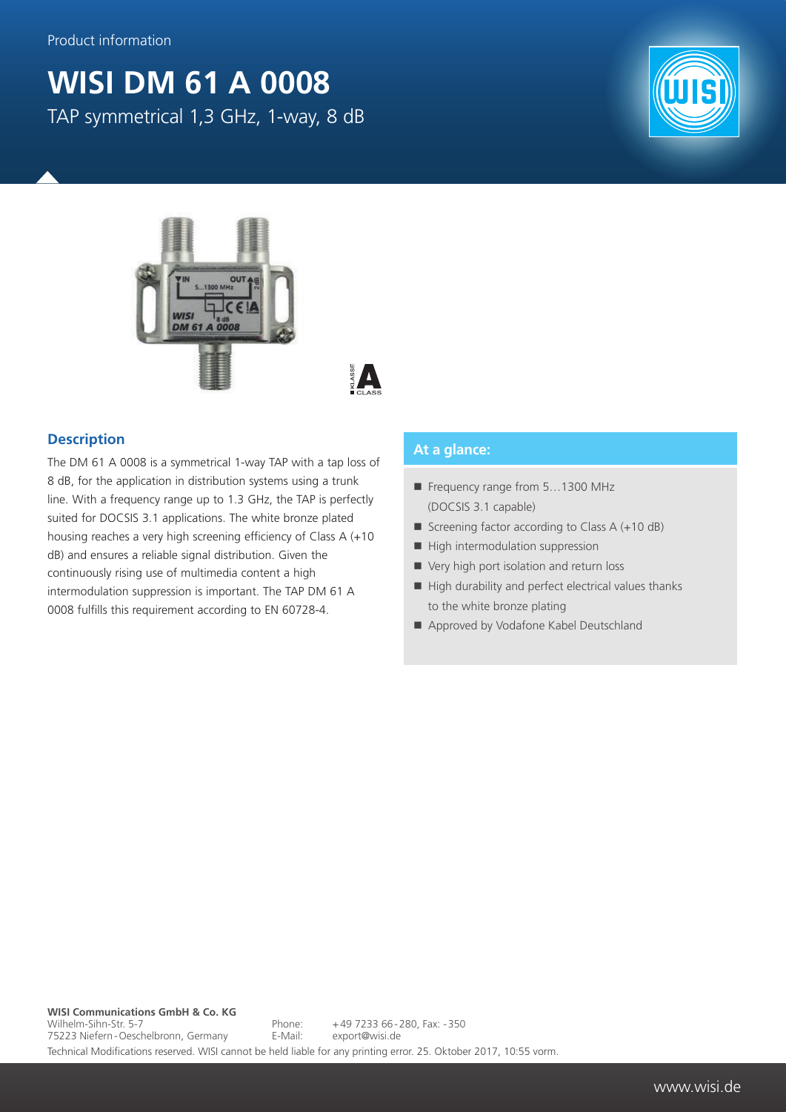## **WISI DM 61 A 0008**



TAP symmetrical 1,3 GHz, 1-way, 8 dB





## **Description**

The DM 61 A 0008 is a symmetrical 1-way TAP with a tap loss of 8 dB, for the application in distribution systems using a trunk line. With a frequency range up to 1.3 GHz, the TAP is perfectly suited for DOCSIS 3.1 applications. The white bronze plated housing reaches a very high screening efficiency of Class A (+10 dB) and ensures a reliable signal distribution. Given the continuously rising use of multimedia content a high intermodulation suppression is important. The TAP DM 61 A 0008 fulfills this requirement according to EN 60728-4.

## **At a glance:**

- Frequency range from 5...1300 MHz (DOCSIS 3.1 capable)
- Screening factor according to Class  $A (+10 dB)$
- $\blacksquare$  High intermodulation suppression
- Very high port isolation and return loss
- $\blacksquare$  High durability and perfect electrical values thanks to the white bronze plating
- Approved by Vodafone Kabel Deutschland